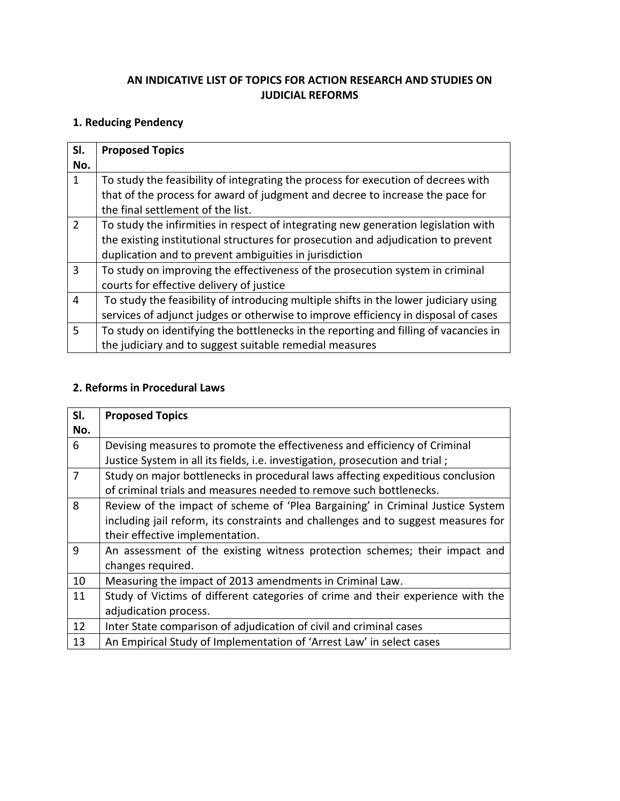### **AN INDICATIVE LIST OF TOPICS FOR ACTION RESEARCH AND STUDIES ON JUDICIAL REFORMS**

## **1. Reducing Pendency**

| SI.<br>No.    | <b>Proposed Topics</b>                                                                                                                                             |
|---------------|--------------------------------------------------------------------------------------------------------------------------------------------------------------------|
| 1             | To study the feasibility of integrating the process for execution of decrees with<br>that of the process for award of judgment and decree to increase the pace for |
|               | the final settlement of the list.                                                                                                                                  |
| $\mathcal{P}$ | To study the infirmities in respect of integrating new generation legislation with                                                                                 |
|               | the existing institutional structures for prosecution and adjudication to prevent                                                                                  |
|               | duplication and to prevent ambiguities in jurisdiction                                                                                                             |
| 3             | To study on improving the effectiveness of the prosecution system in criminal                                                                                      |
|               | courts for effective delivery of justice                                                                                                                           |
| 4             | To study the feasibility of introducing multiple shifts in the lower judiciary using                                                                               |
|               | services of adjunct judges or otherwise to improve efficiency in disposal of cases                                                                                 |
| 5             | To study on identifying the bottlenecks in the reporting and filling of vacancies in                                                                               |
|               | the judiciary and to suggest suitable remedial measures                                                                                                            |

#### **2. Reforms in Procedural Laws**

| SI. | <b>Proposed Topics</b>                                                            |
|-----|-----------------------------------------------------------------------------------|
| No. |                                                                                   |
| 6   | Devising measures to promote the effectiveness and efficiency of Criminal         |
|     | Justice System in all its fields, i.e. investigation, prosecution and trial;      |
| 7   | Study on major bottlenecks in procedural laws affecting expeditious conclusion    |
|     | of criminal trials and measures needed to remove such bottlenecks.                |
| 8   | Review of the impact of scheme of 'Plea Bargaining' in Criminal Justice System    |
|     | including jail reform, its constraints and challenges and to suggest measures for |
|     | their effective implementation.                                                   |
| 9   | An assessment of the existing witness protection schemes; their impact and        |
|     | changes required.                                                                 |
| 10  | Measuring the impact of 2013 amendments in Criminal Law.                          |
| 11  | Study of Victims of different categories of crime and their experience with the   |
|     | adjudication process.                                                             |
| 12  | Inter State comparison of adjudication of civil and criminal cases                |
| 13  | An Empirical Study of Implementation of 'Arrest Law' in select cases              |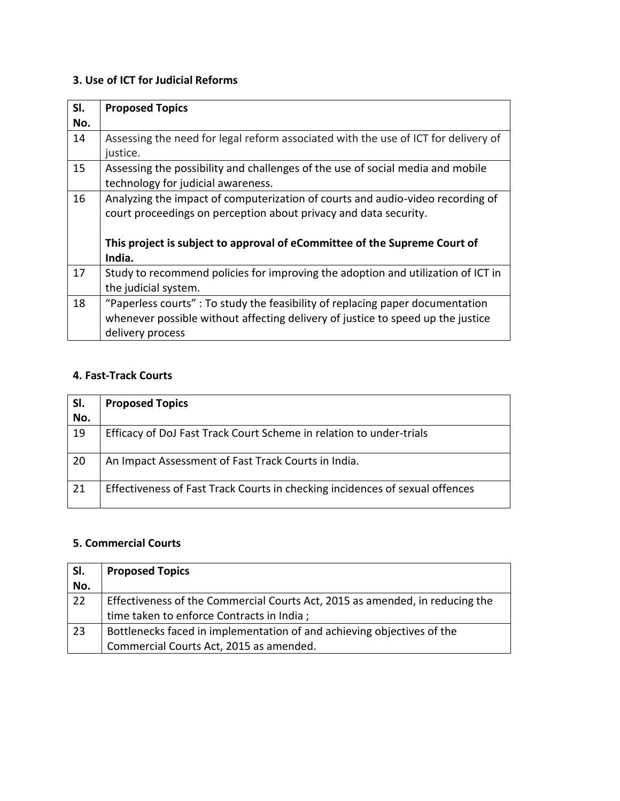# **3. Use of ICT for Judicial Reforms**

| SI.<br>No. | <b>Proposed Topics</b>                                                                                                                                                                                                          |
|------------|---------------------------------------------------------------------------------------------------------------------------------------------------------------------------------------------------------------------------------|
| 14         | Assessing the need for legal reform associated with the use of ICT for delivery of<br>justice.                                                                                                                                  |
| 15         | Assessing the possibility and challenges of the use of social media and mobile<br>technology for judicial awareness.                                                                                                            |
| 16         | Analyzing the impact of computerization of courts and audio-video recording of<br>court proceedings on perception about privacy and data security.<br>This project is subject to approval of eCommittee of the Supreme Court of |
|            | India.                                                                                                                                                                                                                          |
| 17         | Study to recommend policies for improving the adoption and utilization of ICT in<br>the judicial system.                                                                                                                        |
| 18         | "Paperless courts" : To study the feasibility of replacing paper documentation<br>whenever possible without affecting delivery of justice to speed up the justice<br>delivery process                                           |

### **4. Fast-Track Courts**

| SI. | <b>Proposed Topics</b>                                                       |
|-----|------------------------------------------------------------------------------|
| No. |                                                                              |
| 19  | Efficacy of DoJ Fast Track Court Scheme in relation to under-trials          |
| 20  | An Impact Assessment of Fast Track Courts in India.                          |
| 21  | Effectiveness of Fast Track Courts in checking incidences of sexual offences |

#### **5. Commercial Courts**

| SI. | <b>Proposed Topics</b>                                                       |
|-----|------------------------------------------------------------------------------|
| No. |                                                                              |
| 22  | Effectiveness of the Commercial Courts Act, 2015 as amended, in reducing the |
|     | time taken to enforce Contracts in India;                                    |
| 23  | Bottlenecks faced in implementation of and achieving objectives of the       |
|     | Commercial Courts Act, 2015 as amended.                                      |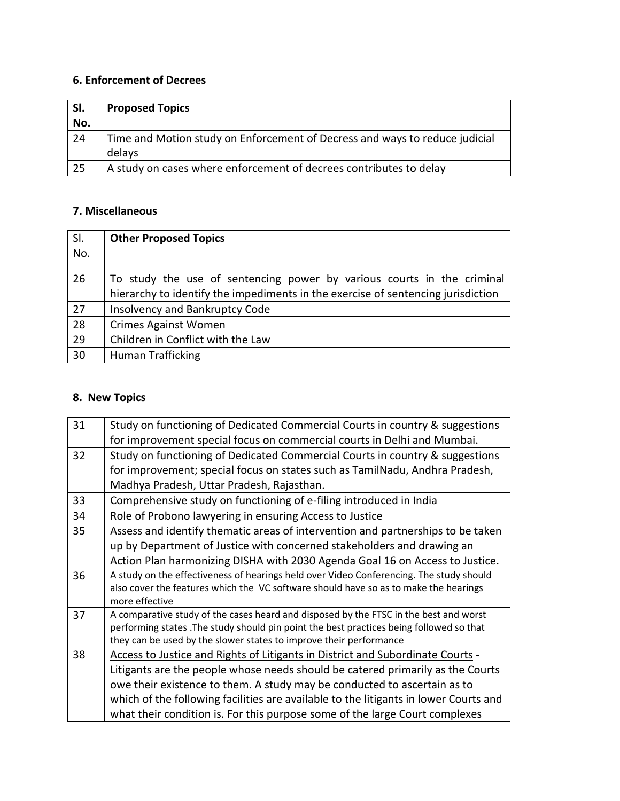# **6. Enforcement of Decrees**

| SI.<br>  No. | <b>Proposed Topics</b>                                                      |
|--------------|-----------------------------------------------------------------------------|
| 24           | Time and Motion study on Enforcement of Decress and ways to reduce judicial |
|              | delays                                                                      |
| 25           | A study on cases where enforcement of decrees contributes to delay          |

### **7. Miscellaneous**

| SI. | <b>Other Proposed Topics</b>                                                                                                                               |
|-----|------------------------------------------------------------------------------------------------------------------------------------------------------------|
| No. |                                                                                                                                                            |
| 26  | To study the use of sentencing power by various courts in the criminal<br>hierarchy to identify the impediments in the exercise of sentencing jurisdiction |
| 27  | Insolvency and Bankruptcy Code                                                                                                                             |
| 28  | <b>Crimes Against Women</b>                                                                                                                                |
| 29  | Children in Conflict with the Law                                                                                                                          |
| 30  | <b>Human Trafficking</b>                                                                                                                                   |

## **8. New Topics**

| Study on functioning of Dedicated Commercial Courts in country & suggestions            |
|-----------------------------------------------------------------------------------------|
| for improvement special focus on commercial courts in Delhi and Mumbai.                 |
| Study on functioning of Dedicated Commercial Courts in country & suggestions            |
| for improvement; special focus on states such as TamilNadu, Andhra Pradesh,             |
| Madhya Pradesh, Uttar Pradesh, Rajasthan.                                               |
| Comprehensive study on functioning of e-filing introduced in India                      |
| Role of Probono lawyering in ensuring Access to Justice                                 |
| Assess and identify thematic areas of intervention and partnerships to be taken         |
| up by Department of Justice with concerned stakeholders and drawing an                  |
| Action Plan harmonizing DISHA with 2030 Agenda Goal 16 on Access to Justice.            |
| A study on the effectiveness of hearings held over Video Conferencing. The study should |
| also cover the features which the VC software should have so as to make the hearings    |
| more effective                                                                          |
| A comparative study of the cases heard and disposed by the FTSC in the best and worst   |
| performing states .The study should pin point the best practices being followed so that |
| they can be used by the slower states to improve their performance                      |
| Access to Justice and Rights of Litigants in District and Subordinate Courts -          |
| Litigants are the people whose needs should be catered primarily as the Courts          |
| owe their existence to them. A study may be conducted to ascertain as to                |
| which of the following facilities are available to the litigants in lower Courts and    |
| what their condition is. For this purpose some of the large Court complexes             |
|                                                                                         |